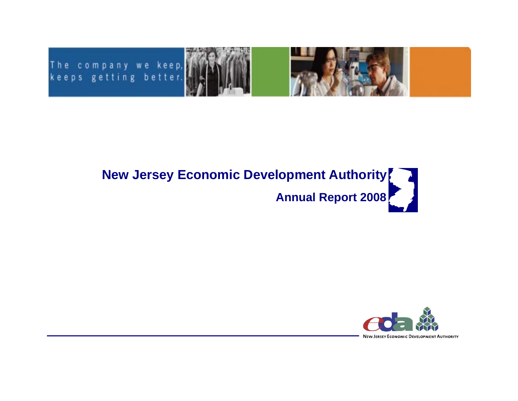



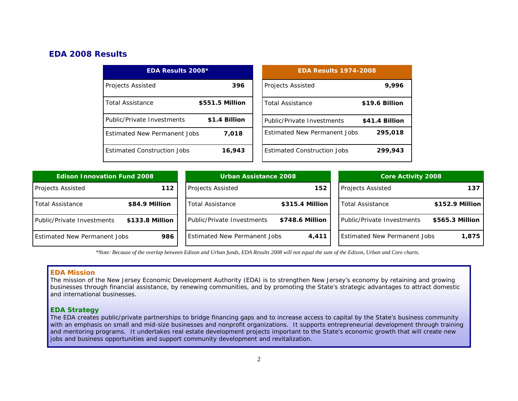# *EDA 2008 Results*

| <b>EDA Results 2008*</b>            |                 | <b>EDA Results 1974-2008</b>        |                |  |
|-------------------------------------|-----------------|-------------------------------------|----------------|--|
| <b>Projects Assisted</b>            | 396             | <b>Projects Assisted</b>            | 9,996          |  |
| <b>Total Assistance</b>             | \$551.5 Million | <b>Total Assistance</b>             | \$19.6 Billion |  |
| Public/Private Investments          | \$1.4 Billion   | Public/Private Investments          | \$41.4 Billion |  |
| <b>Estimated New Permanent Jobs</b> | 7.018           | <b>Estimated New Permanent Jobs</b> | 295,018        |  |
| <b>Estimated Construction Jobs</b>  | 16,943          | <b>Estimated Construction Jobs</b>  | 299,943        |  |

| <b>Edison Innovation Fund 2008</b>  |                 | <b>Urban Assistance 2008</b>        |                 | <b>Core Activity 2008</b>           |                  |
|-------------------------------------|-----------------|-------------------------------------|-----------------|-------------------------------------|------------------|
| <b>Projects Assisted</b>            | 112             | <b>Projects Assisted</b>            | 152             | <b>Projects Assisted</b>            | 137              |
| Total Assistance                    | \$84.9 Million  | <b>Total Assistance</b>             | \$315.4 Million | <b>Total Assistance</b>             | $$152.9$ Million |
| Public/Private Investments          | \$133.8 Million | <b>Public/Private Investments</b>   | \$748.6 Million | Public/Private Investments          | \$565.3 Million  |
| <b>Estimated New Permanent Jobs</b> | 986             | <b>Estimated New Permanent Jobs</b> | 4,411           | <b>Estimated New Permanent Jobs</b> | 1,875            |

*\*Note: Because of the overlap between Edison and Urban funds, EDA Results 2008 will not equal the sum of the Edison, Urban and Core charts.* 

#### **EDA Mission**

The mission of the New Jersey Economic Development Authority (EDA) is to strengthen New Jersey's economy by retaining and growing businesses through financial assistance, by renewing communities, and by promoting the State's strategic advantages to attract domestic and international businesses.

### **EDA Strategy**

The EDA creates public/private partnerships to bridge financing gaps and to increase access to capital by the State's business community with an emphasis on small and mid-size businesses and nonprofit organizations. It supports entrepreneurial development through training and mentoring programs. It undertakes real estate development projects important to the State's economic growth that will create new jobs and business opportunities and support community development and revitalization.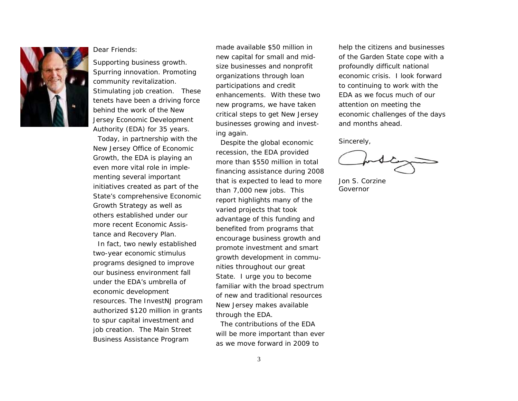

#### Dear Friends:

Supporting business growth. Spurring innovation. Promoting community revitalization. Stimulating job creation. These tenets have been a driving force behind the work of the New Jersey Economic Development Authority (EDA) for 35 years.

 Today, in partnership with the New Jersey Office of Economic Growth, the EDA is playing an even more vital role in implementing several important initiatives created as part of the State's comprehensive Economic Growth Strategy as well as others established under our more recent Economic Assistance and Recovery Plan.

 In fact, two newly established two-year economic stimulus programs designed to improve our business environment fall under the EDA's umbrella of economic development resources. The InvestNJ program authorized \$120 million in grants to spur capital investment and job creation. The Main Street Business Assistance Program

made available \$50 million in new capital for small and midsize businesses and nonprofit organizations through loan participations and credit enhancements. With these two new programs, we have taken critical steps to get New Jersey businesses growing and investing again.

 Despite the global economic recession, the EDA provided more than \$550 million in total financing assistance during 2008 that is expected to lead to more than 7,000 new jobs. This report highlights many of the varied projects that took advantage of this funding and benefited from programs that encourage business growth and promote investment and smart growth development in communities throughout our great State. I urge you to become familiar with the broad spectrum of new and traditional resources New Jersey makes available through the EDA.

 The contributions of the EDA will be more important than ever as we move forward in 2009 to

help the citizens and businesses of the Garden State cope with a profoundly difficult national economic crisis. I look forward to continuing to work with the EDA as we focus much of our attention on meeting the economic challenges of the days and months ahead.

Sincerely,

Jon S. Corzine Governor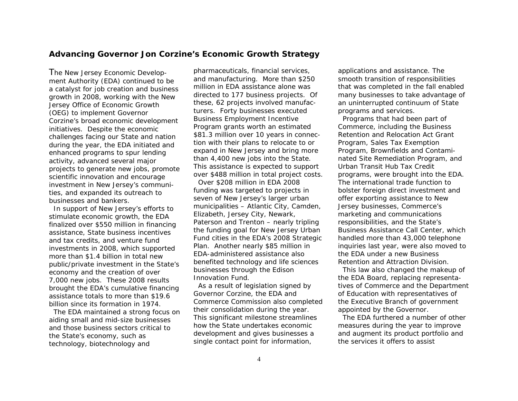### **Advancing Governor Jon Corzine's Economic Growth Strategy**

The New Jersey Economic Development Authority (EDA) continued to be a catalyst for job creation and business growth in 2008, working with the New Jersey Office of Economic Growth (OEG) to implement Governor Corzine's broad economic development initiatives. Despite the economic challenges facing our State and nation during the year, the EDA initiated and enhanced programs to spur lending activity, advanced several major projects to generate new jobs, promote scientific innovation and encourage investment in New Jersey's communities, and expanded its outreach to businesses and bankers.

 In support of New Jersey's efforts to stimulate economic growth, the EDA finalized over \$550 million in financing assistance, State business incentives and tax credits, and venture fund investments in 2008, which supported more than \$1.4 billion in total new public/private investment in the State's economy and the creation of over 7,000 new jobs. These 2008 results brought the EDA's cumulative financing assistance totals to more than \$19.6 billion since its formation in 1974.

 The EDA maintained a strong focus on aiding small and mid-size businesses and those business sectors critical to the State's economy, such as technology, biotechnology and

pharmaceuticals, financial services, and manufacturing. More than \$250 million in EDA assistance alone was directed to 177 business projects. Of these, 62 projects involved manufacturers. Forty businesses executed Business Employment Incentive Program grants worth an estimated \$81.3 million over 10 years in connection with their plans to relocate to or expand in New Jersey and bring more than 4,400 new jobs into the State. This assistance is expected to support over \$488 million in total project costs.

 Over \$208 million in EDA 2008 funding was targeted to projects in seven of New Jersey's larger urban municipalities – Atlantic City, Camden, Elizabeth, Jersey City, Newark, Paterson and Trenton – nearly tripling the funding goal for New Jersey Urban Fund cities in the EDA's 2008 Strategic Plan. Another nearly \$85 million in EDA-administered assistance also benefited technology and life sciences businesses through the Edison Innovation Fund.

 As a result of legislation signed by Governor Corzine, the EDA and Commerce Commission also completed their consolidation during the year. This significant milestone streamlines how the State undertakes economic development and gives businesses a single contact point for information,

applications and assistance. The smooth transition of responsibilities that was completed in the fall enabled many businesses to take advantage of an uninterrupted continuum of State programs and services.

 Programs that had been part of Commerce, including the Business Retention and Relocation Act Grant Program, Sales Tax Exemption Program, Brownfields and Contaminated Site Remediation Program, and Urban Transit Hub Tax Credit programs, were brought into the EDA. The international trade function to bolster foreign direct investment and offer exporting assistance to New Jersey businesses, Commerce's marketing and communications responsibilities, and the State's Business Assistance Call Center, which handled more than 43,000 telephone inquiries last year, were also moved to the EDA under a new Business Retention and Attraction Division.

 This law also changed the makeup of the EDA Board, replacing representatives of Commerce and the Department of Education with representatives of the Executive Branch of government appointed by the Governor.

 The EDA furthered a number of other measures during the year to improve and augment its product portfolio and the services it offers to assist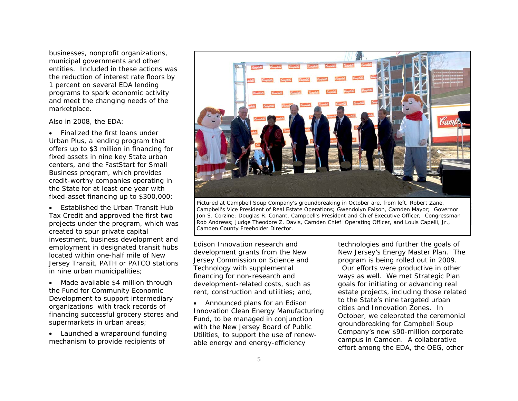businesses, nonprofit organizations, municipal governments and other entities. Included in these actions was the reduction of interest rate floors by 1 percent on several EDA lending programs to spark economic activity and meet the changing needs of the marketplace.

Also in 2008, the EDA:

• Finalized the first loans under Urban Plus, a lending program that offers up to \$3 million in financing for fixed assets in nine key State urban centers, and the FastStart for Small Business program, which provides credit-worthy companies operating in the State for at least one year with fixed-asset financing up to \$300,000;

• Established the Urban Transit Hub Tax Credit and approved the first two projects under the program, which was created to spur private capital investment, business development and employment in designated transit hubs located within one-half mile of New Jersey Transit, PATH or PATCO stations in nine urban municipalities;

• Made available \$4 million through the Fund for Community Economic Development to support intermediary organizations with track records of financing successful grocery stores and supermarkets in urban areas;

• Launched a wraparound funding mechanism to provide recipients of



*Pictured at Campbell Soup Company's groundbreaking in October are, from left, Robert Zane, Campbell's Vice President of Real Estate Operations; Gwendolyn Faison, Camden Mayor; Governor Jon S. Corzine; Douglas R. Conant, Campbell's President and Chief Executive Officer; Congressman Rob Andrews; Judge Theodore Z. Davis, Camden Chief Operating Officer, and Louis Capelli, Jr., Camden County Freeholder Director.*

Edison Innovation research and development grants from the New Jersey Commission on Science and Technology with supplemental financing for non-research and development-related costs, such as rent, construction and utilities; and,

• Announced plans for an Edison Innovation Clean Energy Manufacturing Fund, to be managed in conjunction with the New Jersey Board of Public Utilities, to support the use of renewable energy and energy-efficiency

technologies and further the goals of New Jersey's Energy Master Plan. The program is being rolled out in 2009.

Our efforts were productive in other ways as well. We met Strategic Plan goals for initiating or advancing real estate projects, including those related to the State's nine targeted urban cities and Innovation Zones. In October, we celebrated the ceremonial groundbreaking for Campbell Soup Company's new \$90-million corporate campus in Camden. A collaborative effort among the EDA, the OEG, other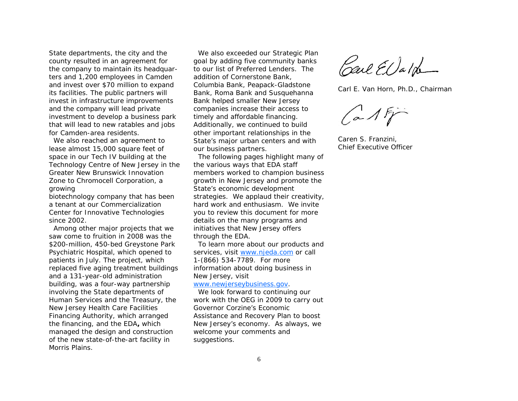State departments, the city and the county resulted in an agreement for the company to maintain its headquarters and 1,200 employees in Camden and invest over \$70 million to expand its facilities. The public partners will invest in infrastructure improvements and the company will lead private investment to develop a business park that will lead to new ratables and jobs for Camden-area residents.

 We also reached an agreement to lease almost 15,000 square feet of space in our Tech IV building at the Technology Centre of New Jersey in the Greater New Brunswick Innovation Zone to Chromocell Corporation, a growing

biotechnology company that has been a tenant at our Commercialization Center for Innovative Technologies since 2002.

 Among other major projects that we saw come to fruition in 2008 was the \$200-million, 450-bed Greystone Park Psychiatric Hospital, which opened to patients in July. The project, which replaced five aging treatment buildings and a 131-year-old administration building, was a four-way partnership involving the State departments of Human Services and the Treasury, the New Jersey Health Care Facilities Financing Authority, which arranged the financing, and the EDA**,** which managed the design and construction of the new state-of-the-art facility in Morris Plains.

 We also exceeded our Strategic Plan goal by adding five community banks to our list of Preferred Lenders. The addition of Cornerstone Bank, Columbia Bank, Peapack-Gladstone Bank, Roma Bank and Susquehanna Bank helped smaller New Jersey companies increase their access to timely and affordable financing. Additionally, we continued to build other important relationships in the State's major urban centers and with our business partners.

 The following pages highlight many of the various ways that EDA staff members worked to champion business growth in New Jersey and promote the State's economic development strategies. We applaud their creativity, hard work and enthusiasm. We invite you to review this document for more details on the many programs and initiatives that New Jersey offers through the EDA.

 To learn more about our products and services, visit www.njeda.com or call 1-(866) 534-7789. For more information about doing business in New Jersey, visit

#### www.newjerseybusiness.gov.

 We look forward to continuing our work with the OEG in 2009 to carry out Governor Corzine's Economic Assistance and Recovery Plan to boost New Jersey's economy. As always, we welcome your comments and suggestions.

Carl El) ald

Carl E. Van Horn, Ph.D., Chairman

 $(a\wedge b)^2$ 

Caren S. Franzini, Chief Executive Officer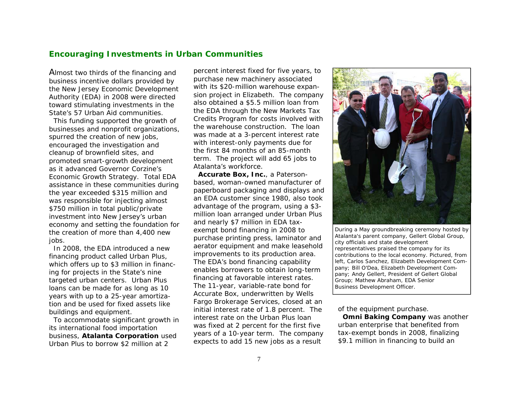## **Encouraging Investments in Urban Communities**

Almost two thirds of the financing and business incentive dollars provided by the New Jersey Economic Development Authority (EDA) in 2008 were directed toward stimulating investments in the State's 57 Urban Aid communities.

 This funding supported the growth of businesses and nonprofit organizations, spurred the creation of new jobs, encouraged the investigation and cleanup of brownfield sites, and promoted smart-growth development as it advanced Governor Corzine's Economic Growth Strategy. Total EDA assistance in these communities during the year exceeded \$315 million and was responsible for injecting almost \$750 million in total public/private investment into New Jersey's urban economy and setting the foundation for the creation of more than 4,400 new jobs.

 In 2008, the EDA introduced a new financing product called Urban Plus, which offers up to \$3 million in financing for projects in the State's nine targeted urban centers. Urban Plus loans can be made for as long as 10 years with up to a 25-year amortization and be used for fixed assets like buildings and equipment.

 To accommodate significant growth in its international food importation business, **Atalanta Corporation** used Urban Plus to borrow \$2 million at 2

percent interest fixed for five years, to purchase new machinery associated with its \$20-million warehouse expansion project in Elizabeth. The company also obtained a \$5.5 million loan from the EDA through the New Markets Tax Credits Program for costs involved with the warehouse construction. The loan was made at a 3-percent interest rate with interest-only payments due for the first 84 months of an 85-month term. The project will add 65 jobs to Atalanta's workforce.

**Accurate Box, Inc.**, a Patersonbased, woman-owned manufacturer of paperboard packaging and displays and an EDA customer since 1980, also took advantage of the program, using a \$3 million loan arranged under Urban Plus and nearly \$7 million in EDA taxexempt bond financing in 2008 to purchase printing press, laminator and aerator equipment and make leasehold improvements to its production area. The EDA's bond financing capability enables borrowers to obtain long-term financing at favorable interest rates. The 11-year, variable-rate bond for Accurate Box, underwritten by Wells Fargo Brokerage Services, closed at an initial interest rate of 1.8 percent. The interest rate on the Urban Plus loan was fixed at 2 percent for the first five years of a 10-year term. The company expects to add 15 new jobs as a result



*During a May groundbreaking ceremony hosted by Atalanta's parent company, Gellert Global Group, city officials and state development representatives praised the company for its contributions to the local economy. Pictured, from left, Carlos Sanchez, Elizabeth Development Company; Bill O'Dea, Elizabeth Development Company; Andy Gellert, President of Gellert Global Group; Mathew Abraham, EDA Senior Business Development Officer.* 

of the equipment purchase.

**Omni Baking Company** was another urban enterprise that benefited from tax-exempt bonds in 2008, finalizing \$9.1 million in financing to build an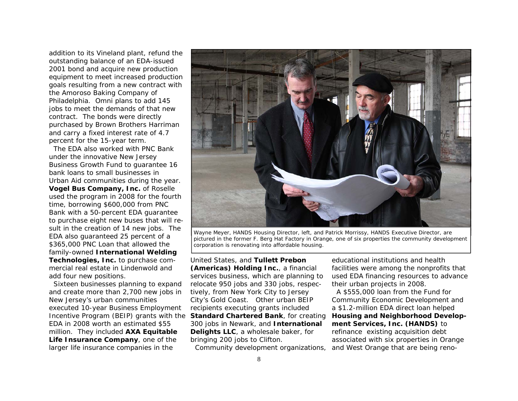addition to its Vineland plant, refund the outstanding balance of an EDA-issued 2001 bond and acquire new production equipment to meet increased production goals resulting from a new contract with the Amoroso Baking Company of Philadelphia. Omni plans to add 145 jobs to meet the demands of that new contract. The bonds were directly purchased by Brown Brothers Harriman and carry a fixed interest rate of 4.7 percent for the 15-year term.

 The EDA also worked with PNC Bank under the innovative New Jersey Business Growth Fund to guarantee 16 bank loans to small businesses in Urban Aid communities during the year. **Vogel Bus Company, Inc.** of Roselle used the program in 2008 for the fourth time, borrowing \$600,000 from PNC Bank with a 50-percent EDA guarantee to purchase eight new buses that will result in the creation of 14 new jobs. The EDA also guaranteed 25 percent of a \$365,000 PNC Loan that allowed the family-owned **International Welding Technologies, Inc.** to purchase commercial real estate in Lindenwold and add four new positions.

 Sixteen businesses planning to expand and create more than 2,700 new jobs in New Jersey's urban communities executed 10-year Business Employment Incentive Program (BEIP) grants with the EDA in 2008 worth an estimated \$55 million. They included **AXA Equitable Life Insurance Company**, one of the larger life insurance companies in the



Wayne Meyer, HANDS Housing Director, left, and Patrick Morrissy, HANDS Executive Director, are<br>pictured in the former F. Berg Hat Factory in Orange, one of six properties the community development<br>corporation is renovating

United States, and **Tullett Prebon (Americas) Holding Inc.**, a financial services business, which are planning to relocate 950 jobs and 330 jobs, respectively, from New York City to Jersey City's Gold Coast. Other urban BEIP recipients executing grants included **Standard Chartered Bank**, for creating 300 jobs in Newark, and **International Delights LLC**, a wholesale baker, for bringing 200 jobs to Clifton.

Community development organizations,

educational institutions and health facilities were among the nonprofits that used EDA financing resources to advance their urban projects in 2008.

 A \$555,000 loan from the Fund for Community Economic Development and a \$1.2-million EDA direct loan helped **Housing and Neighborhood Development Services, Inc. (HANDS)** to refinance existing acquisition debt associated with six properties in Orange and West Orange that are being reno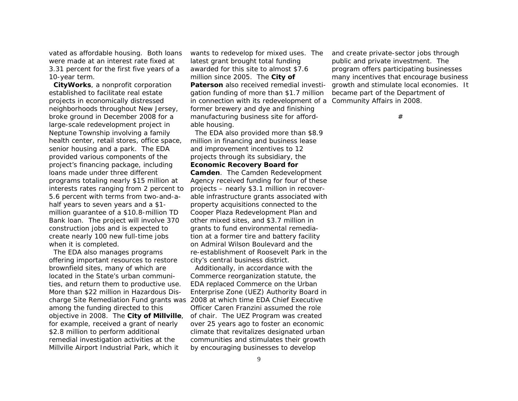vated as affordable housing. Both loans were made at an interest rate fixed at 3.31 percent for the first five years of a 10-year term.

**CityWorks**, a nonprofit corporation established to facilitate real estate projects in economically distressed neighborhoods throughout New Jersey, broke ground in December 2008 for a large-scale redevelopment project in Neptune Township involving a family health center, retail stores, office space, senior housing and a park. The EDA provided various components of the project's financing package, including loans made under three different programs totaling nearly \$15 million at interests rates ranging from 2 percent to 5.6 percent with terms from two-and-ahalf years to seven years and a \$1 million guarantee of a \$10.8-million TD Bank loan. The project will involve 370 construction jobs and is expected to create nearly 100 new full-time jobs when it is completed.

 The EDA also manages programs offering important resources to restore brownfield sites, many of which are located in the State's urban communities, and return them to productive use. More than \$22 million in Hazardous Disamong the funding directed to this objective in 2008. The **City of Millville**, for example, received a grant of nearly \$2.8 million to perform additional remedial investigation activities at the Millville Airport Industrial Park, which it

wants to redevelop for mixed uses. The latest grant brought total funding awarded for this site to almost \$7.6 million since 2005. The **City of Paterson** also received remedial investigation funding of more than \$1.7 million in connection with its redevelopment of a Community Affairs in 2008. former brewery and dye and finishing manufacturing business site for affordable housing.

 The EDA also provided more than \$8.9 million in financing and business lease and improvement incentives to 12 projects through its subsidiary, the **Economic Recovery Board for** 

**Camden**. The Camden Redevelopment Agency received funding for four of these projects – nearly \$3.1 million in recoverable infrastructure grants associated with property acquisitions connected to the Cooper Plaza Redevelopment Plan and other mixed sites, and \$3.7 million in grants to fund environmental remediation at a former tire and battery facility on Admiral Wilson Boulevard and the re-establishment of Roosevelt Park in the city's central business district.

charge Site Remediation Fund grants was 2008 at which time EDA Chief Executive Additionally, in accordance with the Commerce reorganization statute, the EDA replaced Commerce on the Urban Enterprise Zone (UEZ) Authority Board in Officer Caren Franzini assumed the role of chair. The UEZ Program was created over 25 years ago to foster an economic climate that revitalizes designated urban communities and stimulates their growth by encouraging businesses to develop

and create private-sector jobs through public and private investment. The program offers participating businesses many incentives that encourage business growth and stimulate local economies. It became part of the Department of

#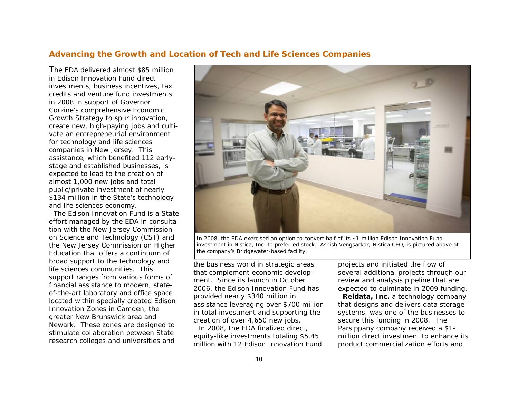### **Advancing the Growth and Location of Tech and Life Sciences Companies**

The EDA delivered almost \$85 million in Edison Innovation Fund direct investments, business incentives, tax credits and venture fund investments in 2008 in support of Governor Corzine's comprehensive Economic Growth Strategy to spur innovation, create new, high-paying jobs and cultivate an entrepreneurial environment for technology and life sciences companies in New Jersey. This assistance, which benefited 112 earlystage and established businesses, is expected to lead to the creation of almost 1,000 new jobs and total public/private investment of nearly \$134 million in the State's technology and life sciences economy.

 The Edison Innovation Fund is a State effort managed by the EDA in consultation with the New Jersey Commission on Science and Technology (CST) and the New Jersey Commission on Higher Education that offers a continuum of broad support to the technology and life sciences communities. This support ranges from various forms of financial assistance to modern, stateof-the-art laboratory and office space located within specially created Edison Innovation Zones in Camden, the greater New Brunswick area and Newark. These zones are designed to stimulate collaboration between State research colleges and universities and



*In 2008, the EDA exercised an option to convert half of its \$1-million Edison Innovation Fund investment in Nistica, Inc. to preferred stock. Ashish Vengsarkar, Nistica CEO, is pictured above at the company's Bridgewater-based facility.* 

the business world in strategic areas that complement economic development. Since its launch in October 2006, the Edison Innovation Fund has provided nearly \$340 million in assistance leveraging over \$700 million in total investment and supporting the creation of over 4,650 new jobs.

 In 2008, the EDA finalized direct, equity-like investments totaling \$5.45 million with 12 Edison Innovation Fund projects and initiated the flow of several additional projects through our review and analysis pipeline that are expected to culminate in 2009 funding.

**Reldata, Inc.** a technology company that designs and delivers data storage systems, was one of the businesses to secure this funding in 2008. The Parsippany company received a \$1 million direct investment to enhance its product commercialization efforts and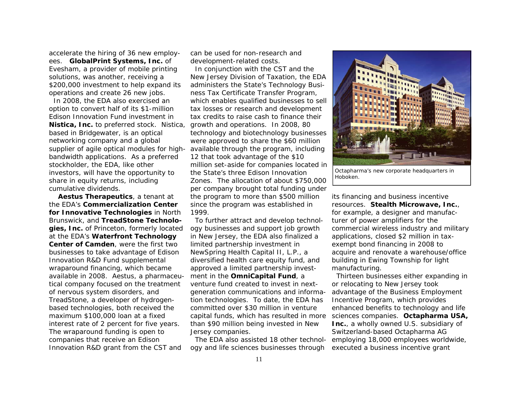accelerate the hiring of 36 new employees. **GlobalPrint Systems, Inc.** of Evesham, a provider of mobile printing solutions, was another, receiving a \$200,000 investment to help expand its operations and create 26 new jobs.

 In 2008, the EDA also exercised an option to convert half of its \$1-million Edison Innovation Fund investment in **Nistica, Inc.** to preferred stock. Nistica, growth and operations. In 2008, 80 based in Bridgewater, is an optical networking company and a global supplier of agile optical modules for highbandwidth applications. As a preferred stockholder, the EDA, like other investors, will have the opportunity to share in equity returns, including cumulative dividends.

**Aestus Therapeutics**, a tenant at the EDA's **Commercialization Center for Innovative Technologies** in North Brunswick, and **TreadStone Technologies, Inc.** of Princeton, formerly located at the EDA's **Waterfront Technology Center of Camden**, were the first two businesses to take advantage of Edison Innovation R&D Fund supplemental wraparound financing, which became available in 2008. Aestus, a pharmaceutical company focused on the treatment of nervous system disorders, and TreadStone, a developer of hydrogenbased technologies, both received the maximum \$100,000 loan at a fixed interest rate of 2 percent for five years. The wraparound funding is open to companies that receive an Edison Innovation R&D grant from the CST and

can be used for non-research and development-related costs.

 In conjunction with the CST and the New Jersey Division of Taxation, the EDA administers the State's Technology Business Tax Certificate Transfer Program, which enables qualified businesses to sell tax losses or research and development tax credits to raise cash to finance their technology and biotechnology businesses were approved to share the \$60 million available through the program, including 12 that took advantage of the \$10 million set-aside for companies located in the State's three Edison Innovation Zones. The allocation of about \$750,000 per company brought total funding under the program to more than \$500 million since the program was established in 1999.

 To further attract and develop technology businesses and support job growth in New Jersey, the EDA also finalized a limited partnership investment in NewSpring Health Capital II, L.P., a diversified health care equity fund, and approved a limited partnership investment in the **OmniCapital Fund**, <sup>a</sup> venture fund created to invest in nextgeneration communications and information technologies. To date, the EDA has committed over \$30 million in venture capital funds, which has resulted in more than \$90 million being invested in New Jersey companies.

 The EDA also assisted 18 other technology and life sciences businesses through



*Octapharma's new corporate headquarters in Hoboken.* 

its financing and business incentive resources. **Stealth Microwave, Inc.**, for example, a designer and manufacturer of power amplifiers for the commercial wireless industry and military applications, closed \$2 million in taxexempt bond financing in 2008 to acquire and renovate a warehouse/office building in Ewing Township for light manufacturing.

 Thirteen businesses either expanding in or relocating to New Jersey took advantage of the Business Employment Incentive Program, which provides enhanced benefits to technology and life sciences companies. **Octapharma USA, Inc.**, a wholly owned U.S. subsidiary of Switzerland-based Octapharma AG employing 18,000 employees worldwide, executed a business incentive grant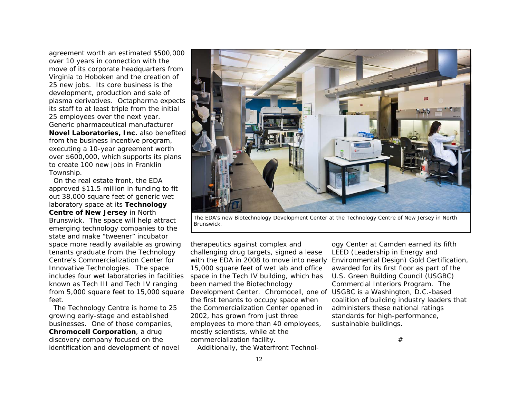agreement worth an estimated \$500,000 over 10 years in connection with the move of its corporate headquarters from Virginia to Hoboken and the creation of 25 new jobs. Its core business is the development, production and sale of plasma derivatives. Octapharma expects its staff to at least triple from the initial 25 employees over the next year. Generic pharmaceutical manufacturer **Novel Laboratories, Inc.** also benefited from the business incentive program, executing a 10-year agreement worth over \$600,000, which supports its plans to create 100 new jobs in Franklin Township.

 On the real estate front, the EDA approved \$11.5 million in funding to fit out 38,000 square feet of generic wet laboratory space at its **Technology Centre of New Jersey** in North Brunswick. The space will help attract emerging technology companies to the state and make "tweener" incubator space more readily available as growing tenants graduate from the Technology Centre's Commercialization Center for Innovative Technologies. The space includes four wet laboratories in facilities known as Tech III and Tech IV ranging from 5,000 square feet to 15,000 square feet.

 The Technology Centre is home to 25 growing early-stage and established businesses. One of those companies, **Chromocell Corporation**, a drug discovery company focused on the identification and development of novel



*The EDA's new Biotechnology Development Center at the Technology Centre of New Jersey in North Brunswick.* 

therapeutics against complex and challenging drug targets, signed a lease with the EDA in 2008 to move into nearly 15,000 square feet of wet lab and office space in the Tech IV building, which has been named the Biotechnology Development Center. Chromocell, one of USGBC is a Washington, D.C.-based the first tenants to occupy space when the Commercialization Center opened in 2002, has grown from just three employees to more than 40 employees, mostly scientists, while at the commercialization facility.

Additionally, the Waterfront Technol-

ogy Center at Camden earned its fifth<br>LEED (Leadership in Energy and<br>Environmental Design) Gold Certification,<br>awarded for its first floor as part of the<br>U.S. Green Building Council (USGBC)<br>Commercial Interiors Program. Th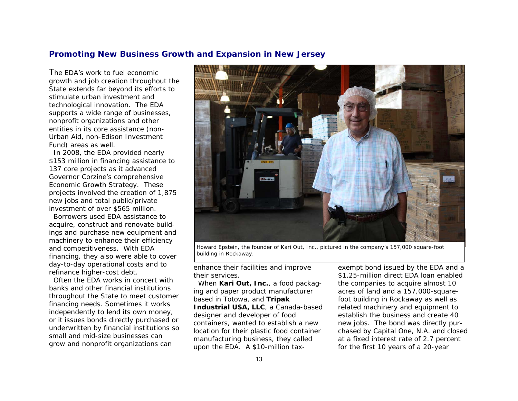### **Promoting New Business Growth and Expansion in New Jersey**

The EDA's work to fuel economic growth and job creation throughout the State extends far beyond its efforts to stimulate urban investment and technological innovation. The EDA supports a wide range of businesses, nonprofit organizations and other entities in its core assistance (non-Urban Aid, non-Edison Investment Fund) areas as well.

 In 2008, the EDA provided nearly \$153 million in financing assistance to 137 core projects as it advanced Governor Corzine's comprehensive Economic Growth Strategy. These projects involved the creation of 1,875 new jobs and total public/private investment of over \$565 million.

 Borrowers used EDA assistance to acquire, construct and renovate buildings and purchase new equipment and machinery to enhance their efficiency and competitiveness. With EDA financing, they also were able to cover day-to-day operational costs and to refinance higher-cost debt.

 Often the EDA works in concert with banks and other financial institutions throughout the State to meet customer financing needs. Sometimes it works independently to lend its own money, or it issues bonds directly purchased or underwritten by financial institutions so small and mid-size businesses can grow and nonprofit organizations can



*Howard Epstein, the founder of Kari Out, Inc., pictured in the company's 157,000 square-foot building in Rockaway.* 

enhance their facilities and improve their services.

 When **Kari Out, Inc.**, a food packaging and paper product manufacturer based in Totowa, and **Tripak Industrial USA, LLC**, a Canada-based designer and developer of food containers, wanted to establish a new location for their plastic food container manufacturing business, they called upon the EDA. A \$10-million taxexempt bond issued by the EDA and a \$1.25-million direct EDA loan enabled<br>the companies to acquire almost 10<br>acres of land and a 157,000-squarefoot building in Rockaway as well as related machinery and equipment to establish the business and create 40 new jobs. The bond was directly pur chased by Capital One, N.A. and closed at a fixed interest rate of 2.7 percent for the first 10 years of a 20-year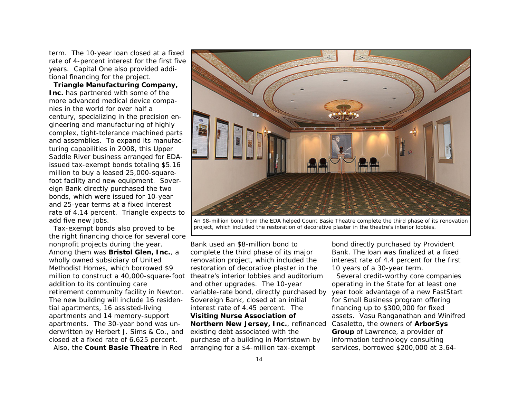term. The 10-year loan closed at a fixed rate of 4-percent interest for the first five years. Capital One also provided additional financing for the project.

**Triangle Manufacturing Company, Inc.** has partnered with some of the more advanced medical device companies in the world for over half a century, specializing in the precision engineering and manufacturing of highly complex, tight-tolerance machined parts and assemblies. To expand its manufacturing capabilities in 2008, this Upper Saddle River business arranged for EDAissued tax-exempt bonds totaling \$5.16 million to buy a leased 25,000-squarefoot facility and new equipment. Sovereign Bank directly purchased the two bonds, which were issued for 10-year and 25-year terms at a fixed interest rate of 4.14 percent. Triangle expects to add five new jobs.

 Tax-exempt bonds also proved to be the right financing choice for several core nonprofit projects during the year. Among them was **Bristol Glen, Inc.**, <sup>a</sup> wholly owned subsidiary of United Methodist Homes, which borrowed \$9 addition to its continuing care The new building will include 16 residential apartments, 16 assisted-living apartments and 14 memory-support apartments. The 30-year bond was underwritten by Herbert J. Sims & Co., and closed at a fixed rate of 6.625 percent. Also, the **Count Basie Theatre** in Red

*An \$8-million bond from the EDA helped Count Basie Theatre complete the third phase of its renovation project, which included the restoration of decorative plaster in the theatre's interior lobbies.* 

million to construct a 40,000-square-foot theatre's interior lobbies and auditorium retirement community facility in Newton. variable-rate bond, directly purchased by vear took advantage of a new FastStart Bank used an \$8-million bond to complete the third phase of its major renovation project, which included the restoration of decorative plaster in the and other upgrades. The 10-year Sovereign Bank, closed at an initial interest rate of 4.45 percent. The **Visiting Nurse Association of Northern New Jersey, Inc.**, refinanced existing debt associated with the purchase of a building in Morristown by arranging for a \$4-million tax-exempt

bond directly purchased by Provident Bank. The loan was finalized at a fixed interest rate of 4.4 percent for the first 10 years of a 30-year term.

 Several credit-worthy core companies operating in the State for at least one for Small Business program offering financing up to \$300,000 for fixed assets. Vasu Ranganathan and Winifred Casaletto, the owners of **ArborSys Group** of Lawrence, a provider of information technology consulting services, borrowed \$200,000 at 3.64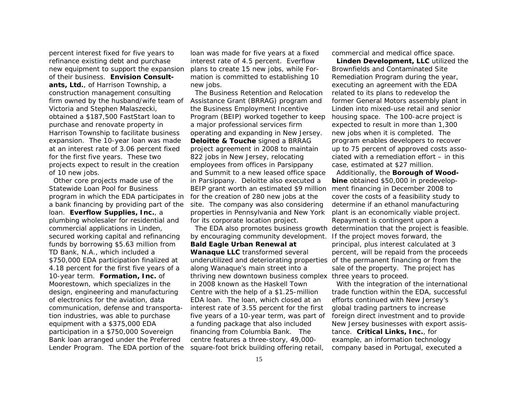percent interest fixed for five years to refinance existing debt and purchase new equipment to support the expansion of their business. **Envision Consultants, Ltd.**, of Harrison Township, a construction management consulting firm owned by the husband/wife team of Victoria and Stephen Malaszecki, obtained a \$187,500 FastStart loan to purchase and renovate property in Harrison Township to facilitate business expansion. The 10-year loan was made at an interest rate of 3.06 percent fixed for the first five years. These two projects expect to result in the creation of 10 new jobs.

 Other core projects made use of the Statewide Loan Pool for Business program in which the EDA participates in a bank financing by providing part of the loan. **Everflow Supplies, Inc.**, <sup>a</sup> plumbing wholesaler for residential and commercial applications in Linden, secured working capital and refinancing funds by borrowing \$5.63 million from TD Bank, N.A., which included a \$750,000 EDA participation finalized at 4.18 percent for the first five years of a 10-year term. **Formation, Inc.** of Moorestown, which specializes in the design, engineering and manufacturing of electronics for the aviation, data communication, defense and transportation industries, was able to purchase equipment with a \$375,000 EDA participation in a \$750,000 Sovereign Bank loan arranged under the Preferred Lender Program. The EDA portion of the

loan was made for five years at a fixed interest rate of 4.5 percent. Everflow plans to create 15 new jobs, while Formation is committed to establishing 10 new jobs.

 The Business Retention and Relocation Assistance Grant (BRRAG) program and the Business Employment Incentive Program (BEIP) worked together to keep a major professional services firm operating and expanding in New Jersey. **Deloitte & Touche** signed a BRRAG project agreement in 2008 to maintain 822 jobs in New Jersey, relocating employees from offices in Parsippany and Summit to a new leased office space in Parsippany. Deloitte also executed a BEIP grant worth an estimated \$9 million for the creation of 280 new jobs at the site. The company was also considering properties in Pennsylvania and New York for its corporate location project.

by encouraging community development. If the project moves forward, the **Bald Eagle Urban Renewal at Wanaque LLC** transformed several underutilized and deteriorating properties of the permanent financing or from the along Wanaque's main street into a thriving new downtown business complex three years to proceed. in 2008 known as the Haskell Town Centre with the help of a \$1.25-million EDA loan. The loan, which closed at an interest rate of 3.55 percent for the first five years of a 10-year term, was part of a funding package that also included financing from Columbia Bank. The centre features a three-story, 49,000 square-foot brick building offering retail,

commercial and medical office space.

**Linden Development, LLC** utilized the Brownfields and Contaminated Site Remediation Program during the year, executing an agreement with the EDA related to its plans to redevelop the former General Motors assembly plant in Linden into mixed-use retail and senior housing space. The 100-acre project is expected to result in more than 1,300 new jobs when it is completed. The program enables developers to recover up to 75 percent of approved costs associated with a remediation effort – in this case, estimated at \$27 million.

 The EDA also promotes business growth determination that the project is feasible. Additionally, the **Borough of Woodbine** obtained \$50,000 in predevelopment financing in December 2008 to cover the costs of a feasibility study to determine if an ethanol manufacturing plant is an economically viable project. Repayment is contingent upon a principal, plus interest calculated at 3 percent, will be repaid from the proceeds sale of the property. The project has

> With the integration of the international trade function within the EDA, successful efforts continued with New Jersey's global trading partners to increase foreign direct investment and to provide New Jersey businesses with export assistance. **Critical Links, Inc.**, for example, an information technology company based in Portugal, executed a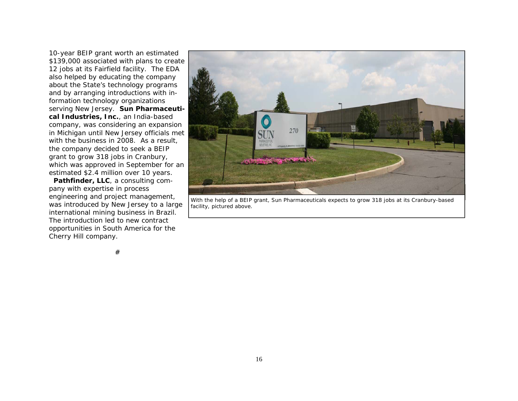10-year BEIP grant worth an estimated \$139,000 associated with plans to create 12 jobs at its Fairfield facility. The EDA also helped by educating the company about the State's technology programs and by arranging introductions with information technology organizations serving New Jersey. **Sun Pharmaceutical Industries, Inc.**, an India-based company, was considering an expansion in Michigan until New Jersey officials met with the business in 2008. As a result, the company decided to seek a BEIP grant to grow 318 jobs in Cranbury, which was approved in September for an estimated \$2.4 million over 10 years.

**Pathfinder, LLC**, a consulting company with expertise in process engineering and project management, was introduced by New Jersey to a large international mining business in Brazil. The introduction led to new contract opportunities in South America for the Cherry Hill company.



*With the help of a BEIP grant, Sun Pharmaceuticals expects to grow 318 jobs at its Cranbury-based facility, pictured above.* 

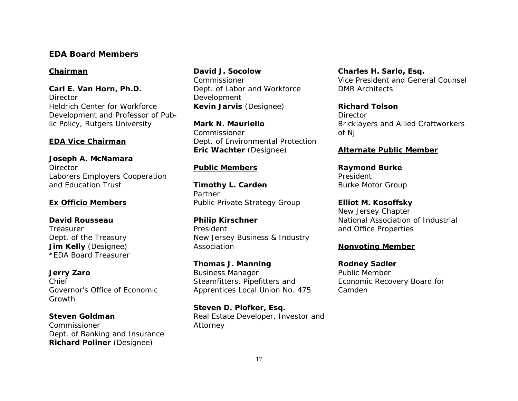## **EDA Board Members**

#### *Chairman*

**Carl E. Van Horn, Ph.D. Director** Heldrich Center for Workforce Development and Professor of Public Policy, Rutgers University

### *EDA Vice Chairman*

**Joseph A. McNamara**  Director Laborers Employers Cooperation and Education Trust

#### *Ex Officio Members*

**David Rousseau** Treasurer Dept. of the Treasury **Jim Kelly** (Designee) *\*EDA Board Treasurer*

**Jerry Zaro**  Chief Governor's Office of Economic Growth

**Steven Goldman** Commissioner Dept. of Banking and Insurance **Richard Poliner** (Designee)

**David J. Socolow** Commissioner Dept. of Labor and Workforce Development **Kevin Jarvis** (Designee)

**Mark N. Mauriello** Commissioner Dept. of Environmental Protection **Eric Wachter** (Designee)

#### *Public Members*

**Timothy L. Carden**  Partner Public Private Strategy Group

**Philip Kirschner**  President New Jersey Business & Industry Association

**Thomas J. Manning**  Business Manager Steamfitters, Pipefitters and Apprentices Local Union No. 475

**Steven D. Plofker, Esq.**  Real Estate Developer, Investor and Attorney

**Charles H. Sarlo, Esq.**  Vice President and General Counsel DMR Architects

**Richard Tolson** Director Bricklayers and Allied Craftworkers of NJ

#### *Alternate Public Member*

**Raymond Burke**  President Burke Motor Group

**Elliot M. Kosoffsky**  New Jersey Chapter National Association of Industrial and Office Properties

#### *Nonvoting Member*

**Rodney Sadler**  Public Member Economic Recovery Board for Camden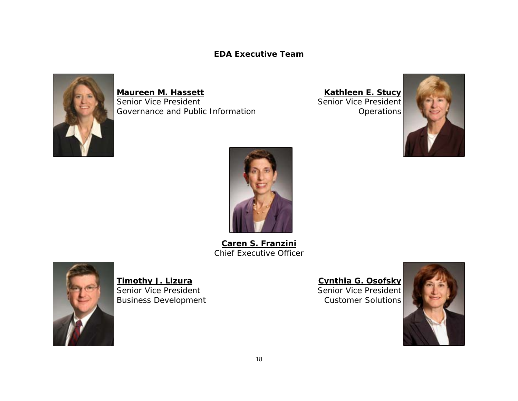**EDA Executive Team** 



**Maureen M. Hassett** Senior Vice President Governance and Public Information

**Kathleen E. Stucy** Senior Vice President **Operations** 





**Caren S. Franzini** Chief Executive Officer



**Timothy J. Lizura** Senior Vice President Business Development

**Cynthia G. Osofsky**

Senior Vice President Customer Solutions